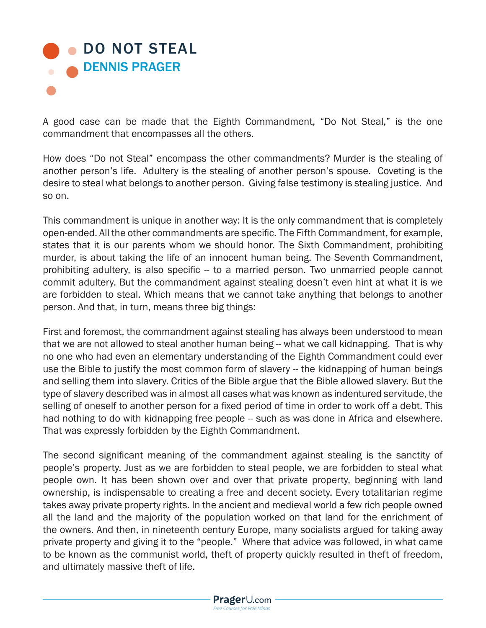## **DO NOT STEAL** DENNIS PRAGER

A good case can be made that the Eighth Commandment, "Do Not Steal," is the one commandment that encompasses all the others.

How does "Do not Steal" encompass the other commandments? Murder is the stealing of another person's life. Adultery is the stealing of another person's spouse. Coveting is the desire to steal what belongs to another person. Giving false testimony is stealing justice. And so on.

This commandment is unique in another way: It is the only commandment that is completely open-ended. All the other commandments are specific. The Fifth Commandment, for example, states that it is our parents whom we should honor. The Sixth Commandment, prohibiting murder, is about taking the life of an innocent human being. The Seventh Commandment, prohibiting adultery, is also specific -- to a married person. Two unmarried people cannot commit adultery. But the commandment against stealing doesn't even hint at what it is we are forbidden to steal. Which means that we cannot take anything that belongs to another person. And that, in turn, means three big things:

First and foremost, the commandment against stealing has always been understood to mean that we are not allowed to steal another human being -- what we call kidnapping. That is why no one who had even an elementary understanding of the Eighth Commandment could ever use the Bible to justify the most common form of slavery -- the kidnapping of human beings and selling them into slavery. Critics of the Bible argue that the Bible allowed slavery. But the type of slavery described was in almost all cases what was known as indentured servitude, the selling of oneself to another person for a fixed period of time in order to work off a debt. This had nothing to do with kidnapping free people -- such as was done in Africa and elsewhere. That was expressly forbidden by the Eighth Commandment.

The second significant meaning of the commandment against stealing is the sanctity of people's property. Just as we are forbidden to steal people, we are forbidden to steal what people own. It has been shown over and over that private property, beginning with land ownership, is indispensable to creating a free and decent society. Every totalitarian regime takes away private property rights. In the ancient and medieval world a few rich people owned all the land and the majority of the population worked on that land for the enrichment of the owners. And then, in nineteenth century Europe, many socialists argued for taking away private property and giving it to the "people." Where that advice was followed, in what came to be known as the communist world, theft of property quickly resulted in theft of freedom, and ultimately massive theft of life.